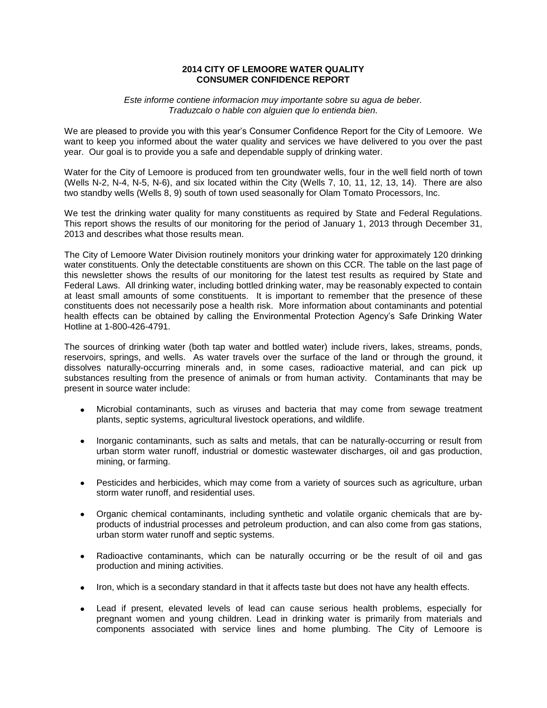# **2014 CITY OF LEMOORE WATER QUALITY CONSUMER CONFIDENCE REPORT**

#### *Este informe contiene informacion muy importante sobre su agua de beber. Traduzcalo o hable con alguien que lo entienda bien.*

We are pleased to provide you with this year's Consumer Confidence Report for the City of Lemoore. We want to keep you informed about the water quality and services we have delivered to you over the past year. Our goal is to provide you a safe and dependable supply of drinking water.

Water for the City of Lemoore is produced from ten groundwater wells, four in the well field north of town (Wells N-2, N-4, N-5, N-6), and six located within the City (Wells 7, 10, 11, 12, 13, 14). There are also two standby wells (Wells 8, 9) south of town used seasonally for Olam Tomato Processors, Inc.

We test the drinking water quality for many constituents as required by State and Federal Regulations. This report shows the results of our monitoring for the period of January 1, 2013 through December 31, 2013 and describes what those results mean.

The City of Lemoore Water Division routinely monitors your drinking water for approximately 120 drinking water constituents. Only the detectable constituents are shown on this CCR. The table on the last page of this newsletter shows the results of our monitoring for the latest test results as required by State and Federal Laws. All drinking water, including bottled drinking water, may be reasonably expected to contain at least small amounts of some constituents. It is important to remember that the presence of these constituents does not necessarily pose a health risk. More information about contaminants and potential health effects can be obtained by calling the Environmental Protection Agency's Safe Drinking Water Hotline at 1-800-426-4791.

The sources of drinking water (both tap water and bottled water) include rivers, lakes, streams, ponds, reservoirs, springs, and wells. As water travels over the surface of the land or through the ground, it dissolves naturally-occurring minerals and, in some cases, radioactive material, and can pick up substances resulting from the presence of animals or from human activity. Contaminants that may be present in source water include:

- Microbial contaminants, such as viruses and bacteria that may come from sewage treatment plants, septic systems, agricultural livestock operations, and wildlife.
- Inorganic contaminants, such as salts and metals, that can be naturally-occurring or result from urban storm water runoff, industrial or domestic wastewater discharges, oil and gas production, mining, or farming.
- Pesticides and herbicides, which may come from a variety of sources such as agriculture, urban storm water runoff, and residential uses.
- Organic chemical contaminants, including synthetic and volatile organic chemicals that are byproducts of industrial processes and petroleum production, and can also come from gas stations, urban storm water runoff and septic systems.
- Radioactive contaminants, which can be naturally occurring or be the result of oil and gas  $\bullet$ production and mining activities.
- Iron, which is a secondary standard in that it affects taste but does not have any health effects.
- Lead if present, elevated levels of lead can cause serious health problems, especially for pregnant women and young children. Lead in drinking water is primarily from materials and components associated with service lines and home plumbing. The City of Lemoore is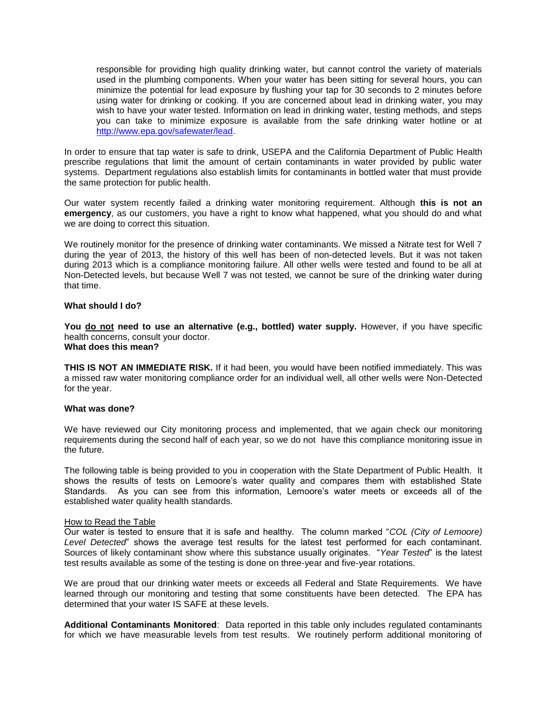responsible for providing high quality drinking water, but cannot control the variety of materials used in the plumbing components. When your water has been sitting for several hours, you can minimize the potential for lead exposure by flushing your tap for 30 seconds to 2 minutes before using water for drinking or cooking. If you are concerned about lead in drinking water, you may wish to have your water tested. Information on lead in drinking water, testing methods, and steps you can take to minimize exposure is available from the safe drinking water hotline or at [http://www.epa.gov/safewater/lead.](http://www.epa.gov/safewater/lead)

In order to ensure that tap water is safe to drink, USEPA and the California Department of Public Health prescribe regulations that limit the amount of certain contaminants in water provided by public water systems. Department regulations also establish limits for contaminants in bottled water that must provide the same protection for public health.

Our water system recently failed a drinking water monitoring requirement. Although **this is not an emergency**, as our customers, you have a right to know what happened, what you should do and what we are doing to correct this situation.

We routinely monitor for the presence of drinking water contaminants. We missed a Nitrate test for Well 7 during the year of 2013, the history of this well has been of non-detected levels. But it was not taken during 2013 which is a compliance monitoring failure. All other wells were tested and found to be all at Non-Detected levels, but because Well 7 was not tested, we cannot be sure of the drinking water during that time.

## **What should I do?**

**You do not need to use an alternative (e.g., bottled) water supply.** However, if you have specific health concerns, consult your doctor. **What does this mean?**

**THIS IS NOT AN IMMEDIATE RISK.** If it had been, you would have been notified immediately. This was a missed raw water monitoring compliance order for an individual well, all other wells were Non-Detected for the year.

## **What was done?**

We have reviewed our City monitoring process and implemented, that we again check our monitoring requirements during the second half of each year, so we do not have this compliance monitoring issue in the future.

The following table is being provided to you in cooperation with the State Department of Public Health. It shows the results of tests on Lemoore's water quality and compares them with established State Standards. As you can see from this information, Lemoore's water meets or exceeds all of the established water quality health standards.

#### How to Read the Table

Our water is tested to ensure that it is safe and healthy. The column marked "*COL (City of Lemoore) Level Detected*" shows the average test results for the latest test performed for each contaminant. Sources of likely contaminant show where this substance usually originates. "*Year Tested*" is the latest test results available as some of the testing is done on three-year and five-year rotations.

We are proud that our drinking water meets or exceeds all Federal and State Requirements. We have learned through our monitoring and testing that some constituents have been detected. The EPA has determined that your water IS SAFE at these levels.

**Additional Contaminants Monitored**: Data reported in this table only includes regulated contaminants for which we have measurable levels from test results. We routinely perform additional monitoring of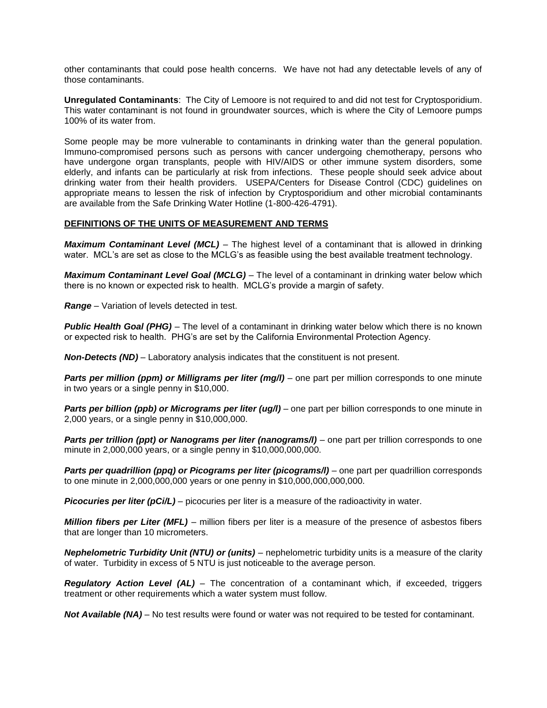other contaminants that could pose health concerns. We have not had any detectable levels of any of those contaminants.

**Unregulated Contaminants**: The City of Lemoore is not required to and did not test for Cryptosporidium. This water contaminant is not found in groundwater sources, which is where the City of Lemoore pumps 100% of its water from.

Some people may be more vulnerable to contaminants in drinking water than the general population. Immuno-compromised persons such as persons with cancer undergoing chemotherapy, persons who have undergone organ transplants, people with HIV/AIDS or other immune system disorders, some elderly, and infants can be particularly at risk from infections. These people should seek advice about drinking water from their health providers. USEPA/Centers for Disease Control (CDC) guidelines on appropriate means to lessen the risk of infection by Cryptosporidium and other microbial contaminants are available from the Safe Drinking Water Hotline (1-800-426-4791).

## **DEFINITIONS OF THE UNITS OF MEASUREMENT AND TERMS**

*Maximum Contaminant Level (MCL)* – The highest level of a contaminant that is allowed in drinking water. MCL's are set as close to the MCLG's as feasible using the best available treatment technology.

*Maximum Contaminant Level Goal (MCLG)* – The level of a contaminant in drinking water below which there is no known or expected risk to health. MCLG's provide a margin of safety.

*Range* – Variation of levels detected in test.

*Public Health Goal (PHG)* – The level of a contaminant in drinking water below which there is no known or expected risk to health. PHG's are set by the California Environmental Protection Agency.

*Non-Detects (ND)* – Laboratory analysis indicates that the constituent is not present.

*Parts per million (ppm) or Milligrams per liter (mg/l)* – one part per million corresponds to one minute in two years or a single penny in \$10,000.

*Parts per billion (ppb) or Micrograms per liter (ug/l)* – one part per billion corresponds to one minute in 2,000 years, or a single penny in \$10,000,000.

*Parts per trillion (ppt) or Nanograms per liter (nanograms/l)* – one part per trillion corresponds to one minute in 2,000,000 years, or a single penny in \$10,000,000,000.

*Parts per quadrillion (ppq) or Picograms per liter (picograms/I) – one part per quadrillion corresponds* to one minute in 2,000,000,000 years or one penny in \$10,000,000,000,000.

*Picocuries per liter (pCi/L)* – picocuries per liter is a measure of the radioactivity in water.

*Million fibers per Liter (MFL)* – million fibers per liter is a measure of the presence of asbestos fibers that are longer than 10 micrometers.

*Nephelometric Turbidity Unit (NTU) or (units)* – nephelometric turbidity units is a measure of the clarity of water. Turbidity in excess of 5 NTU is just noticeable to the average person.

*Regulatory Action Level (AL)* – The concentration of a contaminant which, if exceeded, triggers treatment or other requirements which a water system must follow.

*Not Available (NA)* – No test results were found or water was not required to be tested for contaminant.